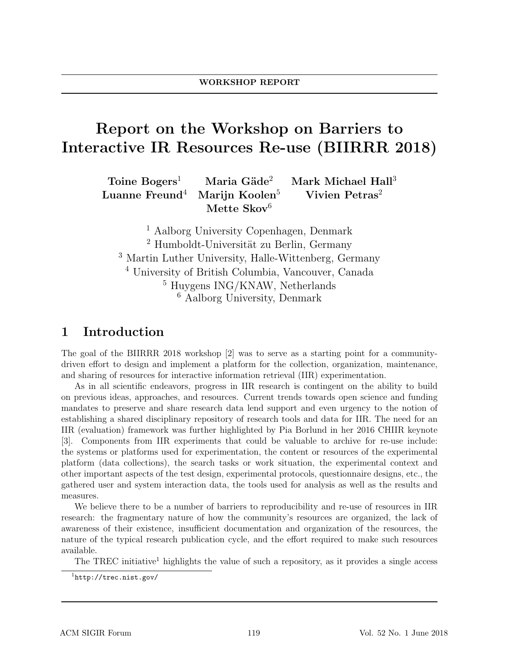# Report on the Workshop on Barriers to Interactive IR Resources Re-use (BIIRRR 2018)

 $Toine Bogers<sup>1</sup>$  Maria Gäde<sup>2</sup> Mark Michael Hall<sup>3</sup> Luanne Freund<sup>4</sup> Marijn Koolen<sup>5</sup> Vivien Petras<sup>2</sup> Mette Skov $6$ 

 Aalborg University Copenhagen, Denmark <sup>2</sup> Humboldt-Universität zu Berlin, Germany Martin Luther University, Halle-Wittenberg, Germany University of British Columbia, Vancouver, Canada Huygens ING/KNAW, Netherlands Aalborg University, Denmark

## 1 Introduction

The goal of the BIIRRR 2018 workshop [2] was to serve as a starting point for a communitydriven effort to design and implement a platform for the collection, organization, maintenance, and sharing of resources for interactive information retrieval (IIR) experimentation.

As in all scientific endeavors, progress in IIR research is contingent on the ability to build on previous ideas, approaches, and resources. Current trends towards open science and funding mandates to preserve and share research data lend support and even urgency to the notion of establishing a shared disciplinary repository of research tools and data for IIR. The need for an IIR (evaluation) framework was further highlighted by Pia Borlund in her 2016 CHIIR keynote [3]. Components from IIR experiments that could be valuable to archive for re-use include: the systems or platforms used for experimentation, the content or resources of the experimental platform (data collections), the search tasks or work situation, the experimental context and other important aspects of the test design, experimental protocols, questionnaire designs, etc., the gathered user and system interaction data, the tools used for analysis as well as the results and measures.

We believe there to be a number of barriers to reproducibility and re-use of resources in IIR research: the fragmentary nature of how the community's resources are organized, the lack of awareness of their existence, insufficient documentation and organization of the resources, the nature of the typical research publication cycle, and the effort required to make such resources available.

The TREC initiative<sup>1</sup> highlights the value of such a repository, as it provides a single access

<sup>1</sup>http://trec.nist.gov/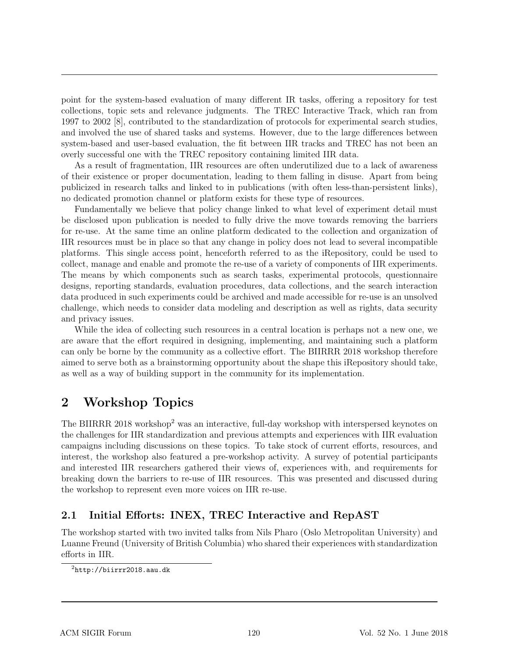point for the system-based evaluation of many different IR tasks, offering a repository for test collections, topic sets and relevance judgments. The TREC Interactive Track, which ran from 1997 to 2002 [8], contributed to the standardization of protocols for experimental search studies, and involved the use of shared tasks and systems. However, due to the large differences between system-based and user-based evaluation, the fit between IIR tracks and TREC has not been an overly successful one with the TREC repository containing limited IIR data.

As a result of fragmentation, IIR resources are often underutilized due to a lack of awareness of their existence or proper documentation, leading to them falling in disuse. Apart from being publicized in research talks and linked to in publications (with often less-than-persistent links), no dedicated promotion channel or platform exists for these type of resources.

Fundamentally we believe that policy change linked to what level of experiment detail must be disclosed upon publication is needed to fully drive the move towards removing the barriers for re-use. At the same time an online platform dedicated to the collection and organization of IIR resources must be in place so that any change in policy does not lead to several incompatible platforms. This single access point, henceforth referred to as the iRepository, could be used to collect, manage and enable and promote the re-use of a variety of components of IIR experiments. The means by which components such as search tasks, experimental protocols, questionnaire designs, reporting standards, evaluation procedures, data collections, and the search interaction data produced in such experiments could be archived and made accessible for re-use is an unsolved challenge, which needs to consider data modeling and description as well as rights, data security and privacy issues.

While the idea of collecting such resources in a central location is perhaps not a new one, we are aware that the effort required in designing, implementing, and maintaining such a platform can only be borne by the community as a collective effort. The BIIRRR 2018 workshop therefore aimed to serve both as a brainstorming opportunity about the shape this iRepository should take, as well as a way of building support in the community for its implementation.

# 2 Workshop Topics

The BIIRRR 2018 workshop<sup>2</sup> was an interactive, full-day workshop with interspersed keynotes on the challenges for IIR standardization and previous attempts and experiences with IIR evaluation campaigns including discussions on these topics. To take stock of current efforts, resources, and interest, the workshop also featured a pre-workshop activity. A survey of potential participants and interested IIR researchers gathered their views of, experiences with, and requirements for breaking down the barriers to re-use of IIR resources. This was presented and discussed during the workshop to represent even more voices on IIR re-use.

### 2.1 Initial Efforts: INEX, TREC Interactive and RepAST

The workshop started with two invited talks from Nils Pharo (Oslo Metropolitan University) and Luanne Freund (University of British Columbia) who shared their experiences with standardization efforts in IIR.

 $^{2}$ http://biirrr2018.aau.dk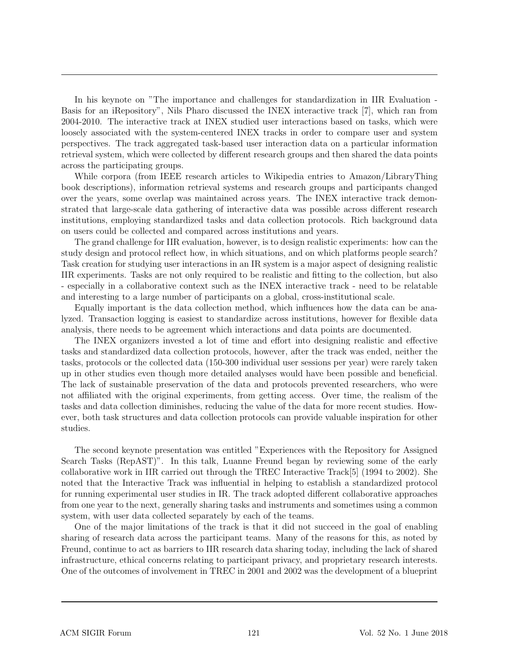In his keynote on "The importance and challenges for standardization in IIR Evaluation - Basis for an iRepository", Nils Pharo discussed the INEX interactive track [7], which ran from 2004-2010. The interactive track at INEX studied user interactions based on tasks, which were loosely associated with the system-centered INEX tracks in order to compare user and system perspectives. The track aggregated task-based user interaction data on a particular information retrieval system, which were collected by different research groups and then shared the data points across the participating groups.

While corpora (from IEEE research articles to Wikipedia entries to Amazon/LibraryThing book descriptions), information retrieval systems and research groups and participants changed over the years, some overlap was maintained across years. The INEX interactive track demonstrated that large-scale data gathering of interactive data was possible across different research institutions, employing standardized tasks and data collection protocols. Rich background data on users could be collected and compared across institutions and years.

The grand challenge for IIR evaluation, however, is to design realistic experiments: how can the study design and protocol reflect how, in which situations, and on which platforms people search? Task creation for studying user interactions in an IR system is a major aspect of designing realistic IIR experiments. Tasks are not only required to be realistic and fitting to the collection, but also - especially in a collaborative context such as the INEX interactive track - need to be relatable and interesting to a large number of participants on a global, cross-institutional scale.

Equally important is the data collection method, which influences how the data can be analyzed. Transaction logging is easiest to standardize across institutions, however for flexible data analysis, there needs to be agreement which interactions and data points are documented.

The INEX organizers invested a lot of time and effort into designing realistic and effective tasks and standardized data collection protocols, however, after the track was ended, neither the tasks, protocols or the collected data (150-300 individual user sessions per year) were rarely taken up in other studies even though more detailed analyses would have been possible and beneficial. The lack of sustainable preservation of the data and protocols prevented researchers, who were not affiliated with the original experiments, from getting access. Over time, the realism of the tasks and data collection diminishes, reducing the value of the data for more recent studies. However, both task structures and data collection protocols can provide valuable inspiration for other studies.

The second keynote presentation was entitled "Experiences with the Repository for Assigned Search Tasks (RepAST)". In this talk, Luanne Freund began by reviewing some of the early collaborative work in IIR carried out through the TREC Interactive Track[5] (1994 to 2002). She noted that the Interactive Track was influential in helping to establish a standardized protocol for running experimental user studies in IR. The track adopted different collaborative approaches from one year to the next, generally sharing tasks and instruments and sometimes using a common system, with user data collected separately by each of the teams.

One of the major limitations of the track is that it did not succeed in the goal of enabling sharing of research data across the participant teams. Many of the reasons for this, as noted by Freund, continue to act as barriers to IIR research data sharing today, including the lack of shared infrastructure, ethical concerns relating to participant privacy, and proprietary research interests. One of the outcomes of involvement in TREC in 2001 and 2002 was the development of a blueprint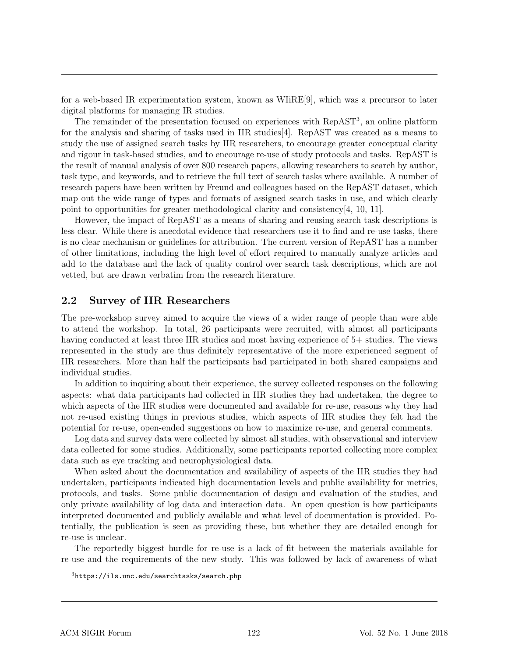for a web-based IR experimentation system, known as WIiRE[9], which was a precursor to later digital platforms for managing IR studies.

The remainder of the presentation focused on experiences with RepAST<sup>3</sup>, an online platform for the analysis and sharing of tasks used in IIR studies[4]. RepAST was created as a means to study the use of assigned search tasks by IIR researchers, to encourage greater conceptual clarity and rigour in task-based studies, and to encourage re-use of study protocols and tasks. RepAST is the result of manual analysis of over 800 research papers, allowing researchers to search by author, task type, and keywords, and to retrieve the full text of search tasks where available. A number of research papers have been written by Freund and colleagues based on the RepAST dataset, which map out the wide range of types and formats of assigned search tasks in use, and which clearly point to opportunities for greater methodological clarity and consistency[4, 10, 11].

However, the impact of RepAST as a means of sharing and reusing search task descriptions is less clear. While there is anecdotal evidence that researchers use it to find and re-use tasks, there is no clear mechanism or guidelines for attribution. The current version of RepAST has a number of other limitations, including the high level of effort required to manually analyze articles and add to the database and the lack of quality control over search task descriptions, which are not vetted, but are drawn verbatim from the research literature.

#### 2.2 Survey of IIR Researchers

The pre-workshop survey aimed to acquire the views of a wider range of people than were able to attend the workshop. In total, 26 participants were recruited, with almost all participants having conducted at least three IIR studies and most having experience of 5+ studies. The views represented in the study are thus definitely representative of the more experienced segment of IIR researchers. More than half the participants had participated in both shared campaigns and individual studies.

In addition to inquiring about their experience, the survey collected responses on the following aspects: what data participants had collected in IIR studies they had undertaken, the degree to which aspects of the IIR studies were documented and available for re-use, reasons why they had not re-used existing things in previous studies, which aspects of IIR studies they felt had the potential for re-use, open-ended suggestions on how to maximize re-use, and general comments.

Log data and survey data were collected by almost all studies, with observational and interview data collected for some studies. Additionally, some participants reported collecting more complex data such as eye tracking and neurophysiological data.

When asked about the documentation and availability of aspects of the IIR studies they had undertaken, participants indicated high documentation levels and public availability for metrics, protocols, and tasks. Some public documentation of design and evaluation of the studies, and only private availability of log data and interaction data. An open question is how participants interpreted documented and publicly available and what level of documentation is provided. Potentially, the publication is seen as providing these, but whether they are detailed enough for re-use is unclear.

The reportedly biggest hurdle for re-use is a lack of fit between the materials available for re-use and the requirements of the new study. This was followed by lack of awareness of what

<sup>3</sup>https://ils.unc.edu/searchtasks/search.php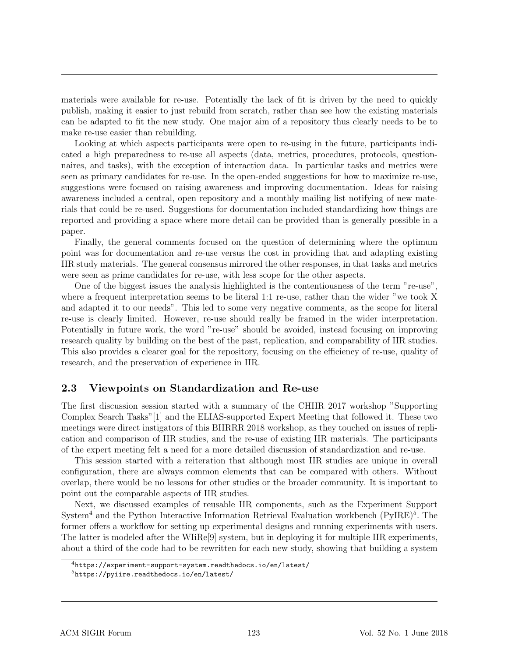materials were available for re-use. Potentially the lack of fit is driven by the need to quickly publish, making it easier to just rebuild from scratch, rather than see how the existing materials can be adapted to fit the new study. One major aim of a repository thus clearly needs to be to make re-use easier than rebuilding.

Looking at which aspects participants were open to re-using in the future, participants indicated a high preparedness to re-use all aspects (data, metrics, procedures, protocols, questionnaires, and tasks), with the exception of interaction data. In particular tasks and metrics were seen as primary candidates for re-use. In the open-ended suggestions for how to maximize re-use, suggestions were focused on raising awareness and improving documentation. Ideas for raising awareness included a central, open repository and a monthly mailing list notifying of new materials that could be re-used. Suggestions for documentation included standardizing how things are reported and providing a space where more detail can be provided than is generally possible in a paper.

Finally, the general comments focused on the question of determining where the optimum point was for documentation and re-use versus the cost in providing that and adapting existing IIR study materials. The general consensus mirrored the other responses, in that tasks and metrics were seen as prime candidates for re-use, with less scope for the other aspects.

One of the biggest issues the analysis highlighted is the contentiousness of the term "re-use", where a frequent interpretation seems to be literal 1:1 re-use, rather than the wider "we took X and adapted it to our needs". This led to some very negative comments, as the scope for literal re-use is clearly limited. However, re-use should really be framed in the wider interpretation. Potentially in future work, the word "re-use" should be avoided, instead focusing on improving research quality by building on the best of the past, replication, and comparability of IIR studies. This also provides a clearer goal for the repository, focusing on the efficiency of re-use, quality of research, and the preservation of experience in IIR.

### 2.3 Viewpoints on Standardization and Re-use

The first discussion session started with a summary of the CHIIR 2017 workshop "Supporting Complex Search Tasks"[1] and the ELIAS-supported Expert Meeting that followed it. These two meetings were direct instigators of this BIIRRR 2018 workshop, as they touched on issues of replication and comparison of IIR studies, and the re-use of existing IIR materials. The participants of the expert meeting felt a need for a more detailed discussion of standardization and re-use.

This session started with a reiteration that although most IIR studies are unique in overall configuration, there are always common elements that can be compared with others. Without overlap, there would be no lessons for other studies or the broader community. It is important to point out the comparable aspects of IIR studies.

Next, we discussed examples of reusable IIR components, such as the Experiment Support System<sup>4</sup> and the Python Interactive Information Retrieval Evaluation workbench  $(PyIRE)^5$ . The former offers a workflow for setting up experimental designs and running experiments with users. The latter is modeled after the WIiRe[9] system, but in deploying it for multiple IIR experiments, about a third of the code had to be rewritten for each new study, showing that building a system

<sup>4</sup>https://experiment-support-system.readthedocs.io/en/latest/

<sup>5</sup>https://pyiire.readthedocs.io/en/latest/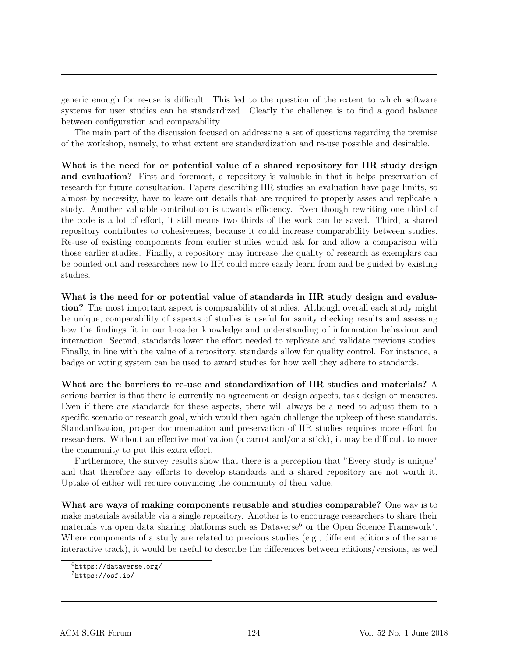generic enough for re-use is difficult. This led to the question of the extent to which software systems for user studies can be standardized. Clearly the challenge is to find a good balance between configuration and comparability.

The main part of the discussion focused on addressing a set of questions regarding the premise of the workshop, namely, to what extent are standardization and re-use possible and desirable.

What is the need for or potential value of a shared repository for IIR study design and evaluation? First and foremost, a repository is valuable in that it helps preservation of research for future consultation. Papers describing IIR studies an evaluation have page limits, so almost by necessity, have to leave out details that are required to properly asses and replicate a study. Another valuable contribution is towards efficiency. Even though rewriting one third of the code is a lot of effort, it still means two thirds of the work can be saved. Third, a shared repository contributes to cohesiveness, because it could increase comparability between studies. Re-use of existing components from earlier studies would ask for and allow a comparison with those earlier studies. Finally, a repository may increase the quality of research as exemplars can be pointed out and researchers new to IIR could more easily learn from and be guided by existing studies.

What is the need for or potential value of standards in IIR study design and evaluation? The most important aspect is comparability of studies. Although overall each study might be unique, comparability of aspects of studies is useful for sanity checking results and assessing how the findings fit in our broader knowledge and understanding of information behaviour and interaction. Second, standards lower the effort needed to replicate and validate previous studies. Finally, in line with the value of a repository, standards allow for quality control. For instance, a badge or voting system can be used to award studies for how well they adhere to standards.

What are the barriers to re-use and standardization of IIR studies and materials? A serious barrier is that there is currently no agreement on design aspects, task design or measures. Even if there are standards for these aspects, there will always be a need to adjust them to a specific scenario or research goal, which would then again challenge the upkeep of these standards. Standardization, proper documentation and preservation of IIR studies requires more effort for researchers. Without an effective motivation (a carrot and/or a stick), it may be difficult to move the community to put this extra effort.

Furthermore, the survey results show that there is a perception that "Every study is unique" and that therefore any efforts to develop standards and a shared repository are not worth it. Uptake of either will require convincing the community of their value.

What are ways of making components reusable and studies comparable? One way is to make materials available via a single repository. Another is to encourage researchers to share their materials via open data sharing platforms such as Dataverse<sup>6</sup> or the Open Science Framework<sup>7</sup>. Where components of a study are related to previous studies (e.g., different editions of the same interactive track), it would be useful to describe the differences between editions/versions, as well

 $6$ https://dataverse.org/

 $7$ https://osf.io/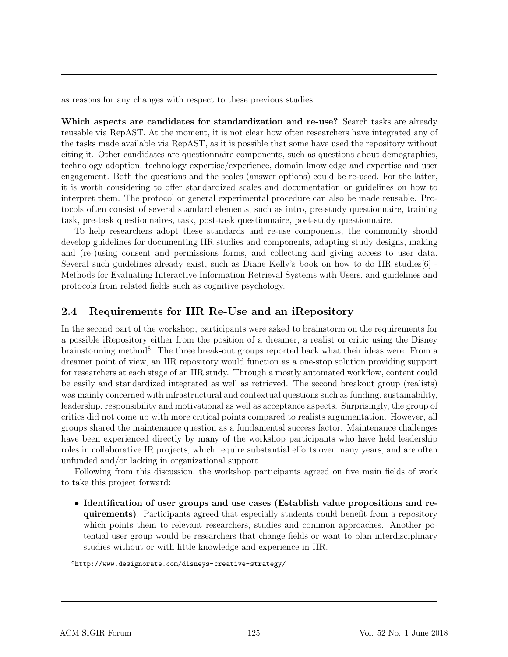as reasons for any changes with respect to these previous studies.

Which aspects are candidates for standardization and re-use? Search tasks are already reusable via RepAST. At the moment, it is not clear how often researchers have integrated any of the tasks made available via RepAST, as it is possible that some have used the repository without citing it. Other candidates are questionnaire components, such as questions about demographics, technology adoption, technology expertise/experience, domain knowledge and expertise and user engagement. Both the questions and the scales (answer options) could be re-used. For the latter, it is worth considering to offer standardized scales and documentation or guidelines on how to interpret them. The protocol or general experimental procedure can also be made reusable. Protocols often consist of several standard elements, such as intro, pre-study questionnaire, training task, pre-task questionnaires, task, post-task questionnaire, post-study questionnaire.

To help researchers adopt these standards and re-use components, the community should develop guidelines for documenting IIR studies and components, adapting study designs, making and (re-)using consent and permissions forms, and collecting and giving access to user data. Several such guidelines already exist, such as Diane Kelly's book on how to do IIR studies[6] - Methods for Evaluating Interactive Information Retrieval Systems with Users, and guidelines and protocols from related fields such as cognitive psychology.

#### 2.4 Requirements for IIR Re-Use and an iRepository

In the second part of the workshop, participants were asked to brainstorm on the requirements for a possible iRepository either from the position of a dreamer, a realist or critic using the Disney brainstorming method<sup>8</sup>. The three break-out groups reported back what their ideas were. From a dreamer point of view, an IIR repository would function as a one-stop solution providing support for researchers at each stage of an IIR study. Through a mostly automated workflow, content could be easily and standardized integrated as well as retrieved. The second breakout group (realists) was mainly concerned with infrastructural and contextual questions such as funding, sustainability, leadership, responsibility and motivational as well as acceptance aspects. Surprisingly, the group of critics did not come up with more critical points compared to realists argumentation. However, all groups shared the maintenance question as a fundamental success factor. Maintenance challenges have been experienced directly by many of the workshop participants who have held leadership roles in collaborative IR projects, which require substantial efforts over many years, and are often unfunded and/or lacking in organizational support.

Following from this discussion, the workshop participants agreed on five main fields of work to take this project forward:

• Identification of user groups and use cases (Establish value propositions and requirements). Participants agreed that especially students could benefit from a repository which points them to relevant researchers, studies and common approaches. Another potential user group would be researchers that change fields or want to plan interdisciplinary studies without or with little knowledge and experience in IIR.

<sup>8</sup>http://www.designorate.com/disneys-creative-strategy/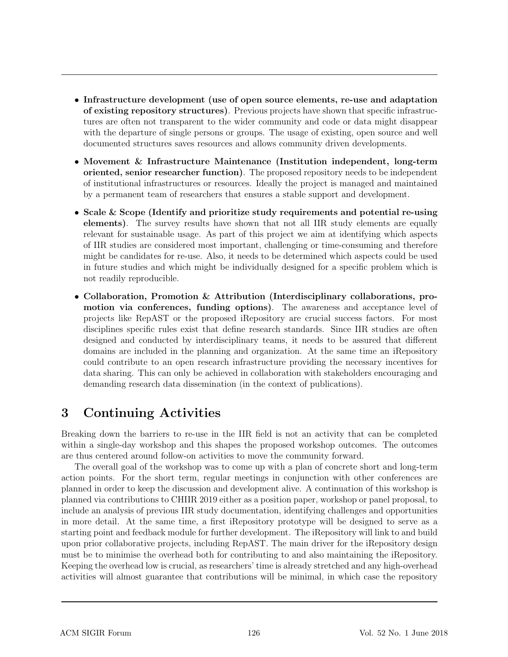- Infrastructure development (use of open source elements, re-use and adaptation of existing repository structures). Previous projects have shown that specific infrastructures are often not transparent to the wider community and code or data might disappear with the departure of single persons or groups. The usage of existing, open source and well documented structures saves resources and allows community driven developments.
- Movement & Infrastructure Maintenance (Institution independent, long-term oriented, senior researcher function). The proposed repository needs to be independent of institutional infrastructures or resources. Ideally the project is managed and maintained by a permanent team of researchers that ensures a stable support and development.
- Scale & Scope (Identify and prioritize study requirements and potential re-using elements). The survey results have shown that not all IIR study elements are equally relevant for sustainable usage. As part of this project we aim at identifying which aspects of IIR studies are considered most important, challenging or time-consuming and therefore might be candidates for re-use. Also, it needs to be determined which aspects could be used in future studies and which might be individually designed for a specific problem which is not readily reproducible.
- Collaboration, Promotion & Attribution (Interdisciplinary collaborations, promotion via conferences, funding options). The awareness and acceptance level of projects like RepAST or the proposed iRepository are crucial success factors. For most disciplines specific rules exist that define research standards. Since IIR studies are often designed and conducted by interdisciplinary teams, it needs to be assured that different domains are included in the planning and organization. At the same time an iRepository could contribute to an open research infrastructure providing the necessary incentives for data sharing. This can only be achieved in collaboration with stakeholders encouraging and demanding research data dissemination (in the context of publications).

# 3 Continuing Activities

Breaking down the barriers to re-use in the IIR field is not an activity that can be completed within a single-day workshop and this shapes the proposed workshop outcomes. The outcomes are thus centered around follow-on activities to move the community forward.

The overall goal of the workshop was to come up with a plan of concrete short and long-term action points. For the short term, regular meetings in conjunction with other conferences are planned in order to keep the discussion and development alive. A continuation of this workshop is planned via contributions to CHIIR 2019 either as a position paper, workshop or panel proposal, to include an analysis of previous IIR study documentation, identifying challenges and opportunities in more detail. At the same time, a first iRepository prototype will be designed to serve as a starting point and feedback module for further development. The iRepository will link to and build upon prior collaborative projects, including RepAST. The main driver for the iRepository design must be to minimise the overhead both for contributing to and also maintaining the iRepository. Keeping the overhead low is crucial, as researchers' time is already stretched and any high-overhead activities will almost guarantee that contributions will be minimal, in which case the repository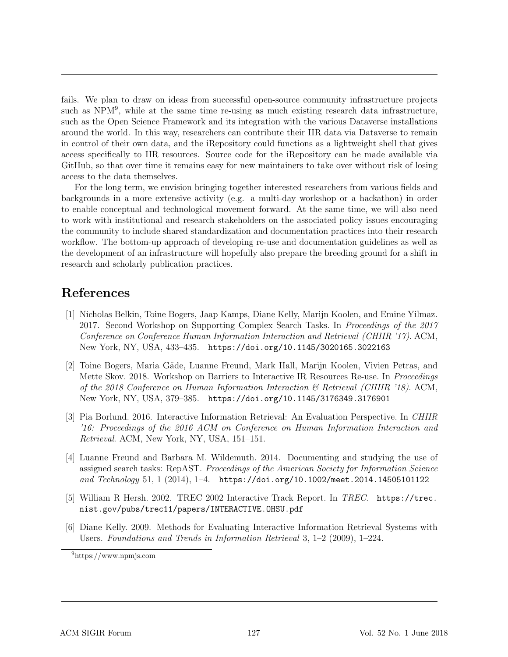fails. We plan to draw on ideas from successful open-source community infrastructure projects such as NPM<sup>9</sup>, while at the same time re-using as much existing research data infrastructure, such as the Open Science Framework and its integration with the various Dataverse installations around the world. In this way, researchers can contribute their IIR data via Dataverse to remain in control of their own data, and the iRepository could functions as a lightweight shell that gives access specifically to IIR resources. Source code for the iRepository can be made available via GitHub, so that over time it remains easy for new maintainers to take over without risk of losing access to the data themselves.

For the long term, we envision bringing together interested researchers from various fields and backgrounds in a more extensive activity (e.g. a multi-day workshop or a hackathon) in order to enable conceptual and technological movement forward. At the same time, we will also need to work with institutional and research stakeholders on the associated policy issues encouraging the community to include shared standardization and documentation practices into their research workflow. The bottom-up approach of developing re-use and documentation guidelines as well as the development of an infrastructure will hopefully also prepare the breeding ground for a shift in research and scholarly publication practices.

### References

- [1] Nicholas Belkin, Toine Bogers, Jaap Kamps, Diane Kelly, Marijn Koolen, and Emine Yilmaz. 2017. Second Workshop on Supporting Complex Search Tasks. In *Proceedings of the 2017 Conference on Conference Human Information Interaction and Retrieval (CHIIR '17)*. ACM, New York, NY, USA, 433–435. https://doi.org/10.1145/3020165.3022163
- [2] Toine Bogers, Maria Gäde, Luanne Freund, Mark Hall, Marijn Koolen, Vivien Petras, and Mette Skov. 2018. Workshop on Barriers to Interactive IR Resources Re-use. In *Proceedings of the 2018 Conference on Human Information Interaction & Retrieval (CHIIR '18)*. ACM, New York, NY, USA, 379–385. https://doi.org/10.1145/3176349.3176901
- [3] Pia Borlund. 2016. Interactive Information Retrieval: An Evaluation Perspective. In *CHIIR '16: Proceedings of the 2016 ACM on Conference on Human Information Interaction and Retrieval*. ACM, New York, NY, USA, 151–151.
- [4] Luanne Freund and Barbara M. Wildemuth. 2014. Documenting and studying the use of assigned search tasks: RepAST. *Proceedings of the American Society for Information Science and Technology* 51, 1 (2014), 1–4. https://doi.org/10.1002/meet.2014.14505101122
- [5] William R Hersh. 2002. TREC 2002 Interactive Track Report. In *TREC*. https://trec. nist.gov/pubs/trec11/papers/INTERACTIVE.OHSU.pdf
- [6] Diane Kelly. 2009. Methods for Evaluating Interactive Information Retrieval Systems with Users. *Foundations and Trends in Information Retrieval* 3, 1–2 (2009), 1–224.

<sup>9</sup>https://www.npmjs.com